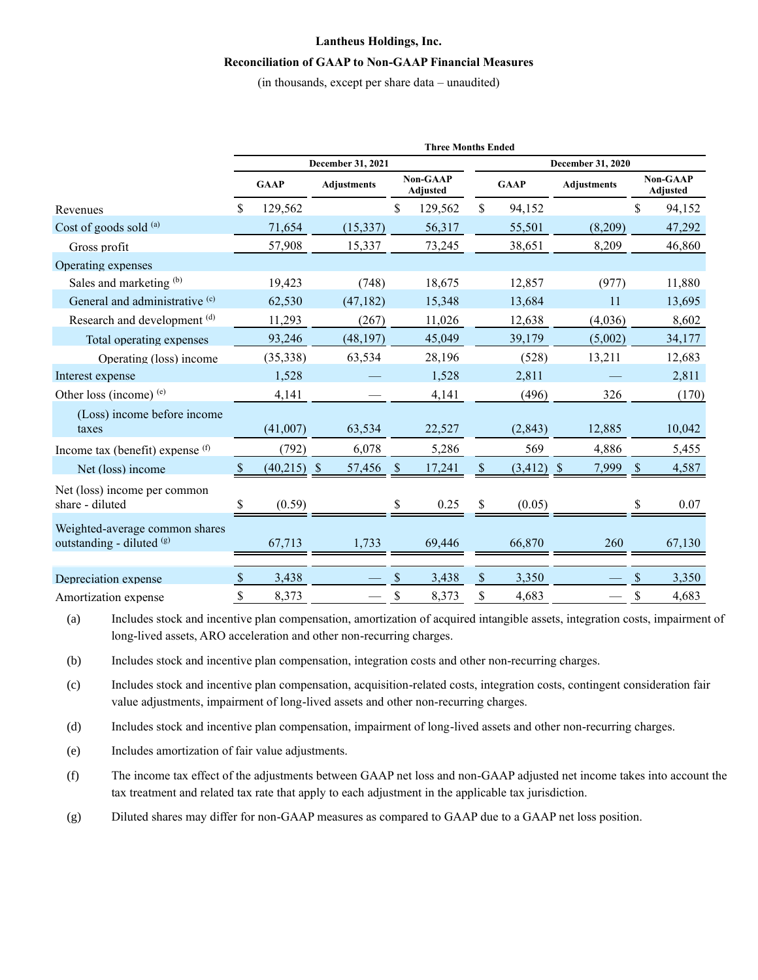# **Lantheus Holdings, Inc. Reconciliation of GAAP to Non-GAAP Financial Measures**

(in thousands, except per share data – unaudited)

|                                                             | <b>Three Months Ended</b> |               |                    |                             |         |               |                   |                    |                                    |        |  |  |  |
|-------------------------------------------------------------|---------------------------|---------------|--------------------|-----------------------------|---------|---------------|-------------------|--------------------|------------------------------------|--------|--|--|--|
|                                                             | December 31, 2021         |               |                    |                             |         |               | December 31, 2020 |                    |                                    |        |  |  |  |
| Revenues                                                    |                           | <b>GAAP</b>   | <b>Adjustments</b> | <b>Non-GAAP</b><br>Adjusted |         | <b>GAAP</b>   |                   | <b>Adjustments</b> | <b>Non-GAAP</b><br><b>Adjusted</b> |        |  |  |  |
|                                                             |                           | 129,562       |                    | \$                          | 129,562 | \$            | 94,152            |                    | \$                                 | 94,152 |  |  |  |
| Cost of goods sold (a)                                      |                           | 71,654        | (15, 337)          |                             | 56,317  |               | 55,501            | (8,209)            |                                    | 47,292 |  |  |  |
| Gross profit                                                |                           | 57,908        | 15,337             |                             | 73,245  |               | 38,651            | 8,209              |                                    | 46,860 |  |  |  |
| Operating expenses                                          |                           |               |                    |                             |         |               |                   |                    |                                    |        |  |  |  |
| Sales and marketing (b)                                     |                           | 19,423        | (748)              |                             | 18,675  |               | 12,857            | (977)              |                                    | 11,880 |  |  |  |
| General and administrative <sup>(c)</sup>                   |                           | 62,530        | (47, 182)          |                             | 15,348  |               | 13,684            | 11                 |                                    | 13,695 |  |  |  |
| Research and development (d)                                |                           | 11,293        | (267)              |                             | 11,026  |               | 12,638            | (4,036)            |                                    | 8,602  |  |  |  |
| Total operating expenses                                    |                           | 93,246        | (48, 197)          |                             | 45,049  |               | 39,179            | (5,002)            |                                    | 34,177 |  |  |  |
| Operating (loss) income                                     |                           | (35, 338)     | 63,534             |                             | 28,196  |               | (528)             | 13,211             |                                    | 12,683 |  |  |  |
| Interest expense                                            |                           | 1,528         |                    |                             | 1,528   |               | 2,811             |                    |                                    | 2,811  |  |  |  |
| Other loss (income) $(e)$                                   |                           | 4,141         |                    |                             | 4,141   |               | (496)             | 326                |                                    | (170)  |  |  |  |
| (Loss) income before income<br>taxes                        |                           | (41,007)      | 63,534             |                             | 22,527  |               | (2, 843)          | 12,885             |                                    | 10,042 |  |  |  |
| Income tax (benefit) expense $(f)$                          |                           | (792)         | 6,078              |                             | 5,286   |               | 569               | 4,886              |                                    | 5,455  |  |  |  |
| Net (loss) income                                           |                           | $(40,215)$ \$ | 57,456             | <sup>\$</sup>               | 17,241  |               | $(3,412)$ \$      | 7,999              |                                    | 4,587  |  |  |  |
| Net (loss) income per common<br>share - diluted             |                           | (0.59)        |                    |                             | 0.25    |               | (0.05)            |                    |                                    | 0.07   |  |  |  |
| Weighted-average common shares<br>outstanding - diluted (g) |                           | 67,713        | 1,733              |                             | 69,446  |               | 66,870            | 260                |                                    | 67,130 |  |  |  |
| Depreciation expense                                        | <sup>\$</sup>             | 3,438         |                    | \$.                         | 3,438   | $\mathcal{S}$ | 3,350             |                    | <sup>\$</sup>                      | 3,350  |  |  |  |
| Amortization expense                                        | \$                        | 8,373         |                    | \$                          | 8,373   | \$            | 4,683             |                    | \$                                 | 4,683  |  |  |  |

(a) Includes stock and incentive plan compensation, amortization of acquired intangible assets, integration costs, impairment of long-lived assets, ARO acceleration and other non-recurring charges.

(b) Includes stock and incentive plan compensation, integration costs and other non-recurring charges.

(c) Includes stock and incentive plan compensation, acquisition-related costs, integration costs, contingent consideration fair value adjustments, impairment of long-lived assets and other non-recurring charges.

(d) Includes stock and incentive plan compensation, impairment of long-lived assets and other non-recurring charges.

(e) Includes amortization of fair value adjustments.

(f) The income tax effect of the adjustments between GAAP net loss and non-GAAP adjusted net income takes into account the tax treatment and related tax rate that apply to each adjustment in the applicable tax jurisdiction.

(g) Diluted shares may differ for non-GAAP measures as compared to GAAP due to a GAAP net loss position.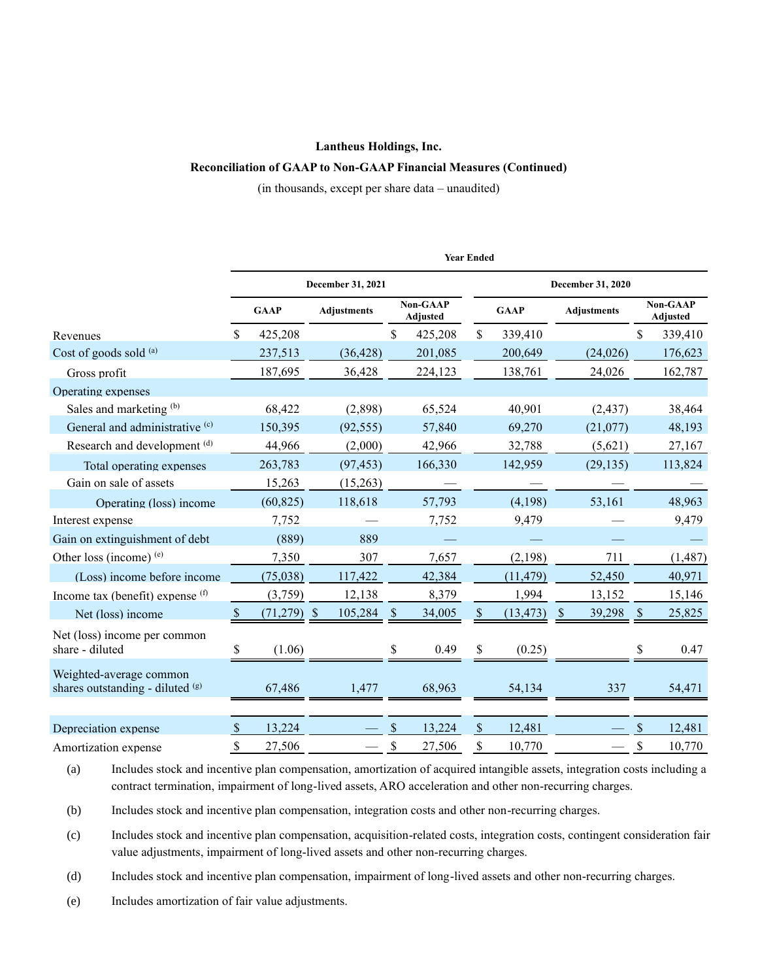#### **Lantheus Holdings, Inc.**

### **Reconciliation of GAAP to Non-GAAP Financial Measures (Continued)**

(in thousands, except per share data – unaudited)

|                                                             | <b>Year Ended</b> |               |                    |               |                                    |                    |                   |                      |                                    |          |  |  |  |
|-------------------------------------------------------------|-------------------|---------------|--------------------|---------------|------------------------------------|--------------------|-------------------|----------------------|------------------------------------|----------|--|--|--|
|                                                             |                   |               | December 31, 2021  |               |                                    |                    | December 31, 2020 |                      |                                    |          |  |  |  |
|                                                             | <b>GAAP</b>       |               | <b>Adjustments</b> |               | <b>Non-GAAP</b><br><b>Adjusted</b> |                    | <b>GAAP</b>       | <b>Adjustments</b>   | <b>Non-GAAP</b><br><b>Adjusted</b> |          |  |  |  |
| Revenues                                                    | S                 | 425,208       |                    | \$            | 425,208                            | $\mathbb{S}$       | 339,410           |                      | \$                                 | 339,410  |  |  |  |
| Cost of goods sold (a)                                      |                   | 237,513       | (36, 428)          |               | 201,085                            |                    | 200,649           | (24,026)             |                                    | 176,623  |  |  |  |
| Gross profit                                                |                   | 187,695       | 36,428             |               | 224,123                            |                    | 138,761           | 24,026               |                                    | 162,787  |  |  |  |
| Operating expenses                                          |                   |               |                    |               |                                    |                    |                   |                      |                                    |          |  |  |  |
| Sales and marketing (b)                                     |                   | 68,422        | (2,898)            |               | 65,524                             |                    | 40,901            | (2, 437)             |                                    | 38,464   |  |  |  |
| General and administrative <sup>(c)</sup>                   |                   | 150,395       | (92, 555)          |               | 57,840                             |                    | 69,270            | (21,077)             |                                    | 48,193   |  |  |  |
| Research and development (d)                                |                   | 44,966        | (2,000)            |               | 42,966                             |                    | 32,788            | (5,621)              |                                    | 27,167   |  |  |  |
| Total operating expenses                                    |                   | 263,783       | (97, 453)          |               | 166,330                            |                    | 142,959           | (29, 135)            |                                    | 113,824  |  |  |  |
| Gain on sale of assets                                      |                   | 15,263        | (15,263)           |               |                                    |                    |                   |                      |                                    |          |  |  |  |
| Operating (loss) income                                     |                   | (60, 825)     | 118,618            |               | 57,793                             |                    | (4,198)           | 53,161               |                                    | 48,963   |  |  |  |
| Interest expense                                            |                   | 7,752         |                    |               | 7,752                              |                    | 9,479             |                      |                                    | 9,479    |  |  |  |
| Gain on extinguishment of debt                              |                   | (889)         | 889                |               |                                    |                    |                   |                      |                                    |          |  |  |  |
| Other loss (income) (e)                                     |                   | 7,350         | 307                |               | 7,657                              |                    | (2,198)           | 711                  |                                    | (1, 487) |  |  |  |
| (Loss) income before income                                 |                   | (75,038)      | 117,422            |               | 42,384                             |                    | (11, 479)         | 52,450               |                                    | 40,971   |  |  |  |
| Income tax (benefit) expense $(f)$                          |                   | (3,759)       | 12,138             |               | 8,379                              |                    | 1,994             | 13,152               |                                    | 15,146   |  |  |  |
| Net (loss) income                                           | $\mathbb{S}$      | $(71,279)$ \$ | 105,284            | $\mathcal{S}$ | 34,005                             | \$                 | (13, 473)         | 39,298<br>$\sqrt{3}$ | $\sqrt{3}$                         | 25,825   |  |  |  |
| Net (loss) income per common<br>share - diluted             | \$                | (1.06)        |                    | \$            | 0.49                               | \$                 | (0.25)            |                      | \$                                 | 0.47     |  |  |  |
| Weighted-average common<br>shares outstanding - diluted (g) |                   | 67,486        | 1,477              |               | 68,963                             |                    | 54,134            | 337                  |                                    | 54,471   |  |  |  |
| Depreciation expense                                        | \$                | 13,224        |                    | $\mathbf S$   | 13,224                             | $\mathbf{\hat{S}}$ | 12,481            |                      | $\mathbf S$                        | 12,481   |  |  |  |
| Amortization expense                                        | \$                | 27,506        |                    | \$            | 27,506                             | \$                 | 10,770            |                      | \$                                 | 10,770   |  |  |  |

(a) Includes stock and incentive plan compensation, amortization of acquired intangible assets, integration costs including a contract termination, impairment of long-lived assets, ARO acceleration and other non-recurring charges.

(b) Includes stock and incentive plan compensation, integration costs and other non-recurring charges.

(c) Includes stock and incentive plan compensation, acquisition-related costs, integration costs, contingent consideration fair value adjustments, impairment of long-lived assets and other non-recurring charges.

(d) Includes stock and incentive plan compensation, impairment of long-lived assets and other non-recurring charges.

(e) Includes amortization of fair value adjustments.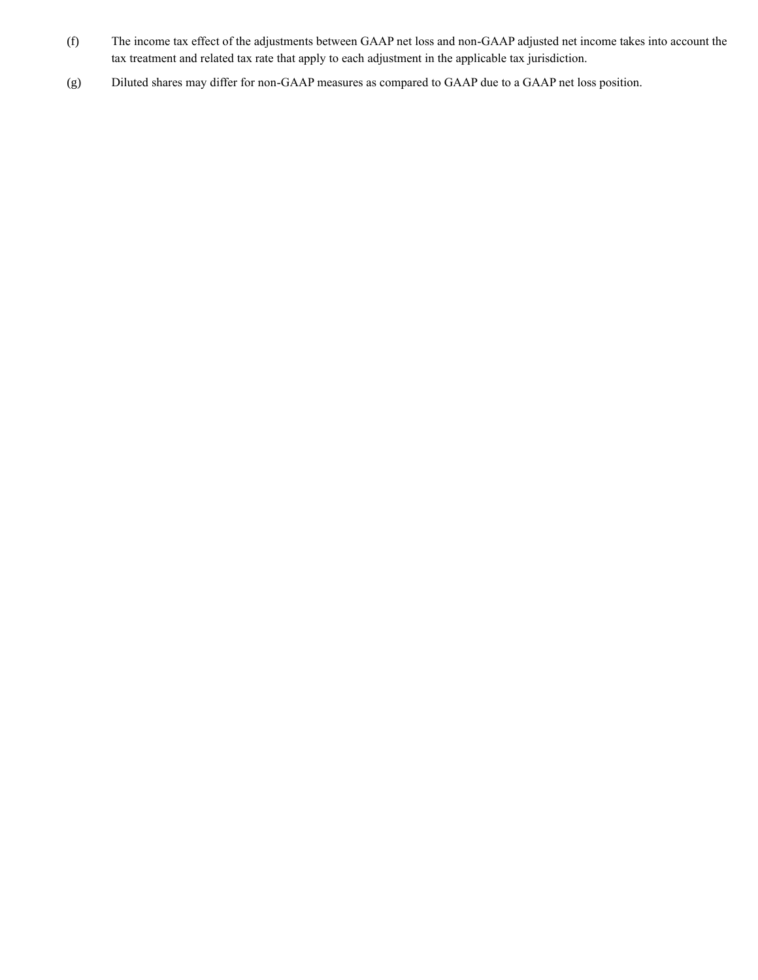- (f) The income tax effect of the adjustments between GAAP net loss and non-GAAP adjusted net income takes into account the tax treatment and related tax rate that apply to each adjustment in the applicable tax jurisdiction.
- (g) Diluted shares may differ for non-GAAP measures as compared to GAAP due to a GAAP net loss position.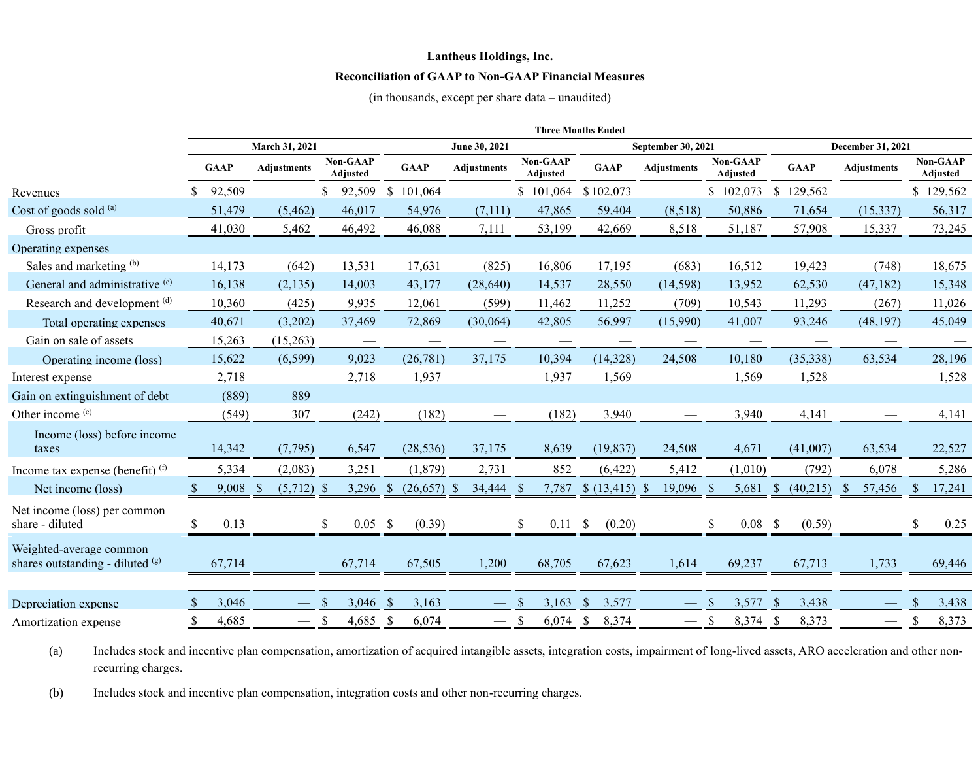## **Lantheus Holdings, Inc.**

## **Reconciliation of GAAP to Non-GAAP Financial Measures**

(in thousands, except per share data – unaudited)

|                                                             | <b>Three Months Ended</b> |             |                    |                       |                           |                             |                             |                        |                                 |                                    |                          |                                 |   |                             |
|-------------------------------------------------------------|---------------------------|-------------|--------------------|-----------------------|---------------------------|-----------------------------|-----------------------------|------------------------|---------------------------------|------------------------------------|--------------------------|---------------------------------|---|-----------------------------|
|                                                             | March 31, 2021            |             |                    |                       | June 30, 2021             |                             |                             | September 30, 2021     | December 31, 2021               |                                    |                          |                                 |   |                             |
|                                                             |                           | <b>GAAP</b> | <b>Adjustments</b> | Non-GAAP<br>Adjusted  | <b>GAAP</b>               | Adjustments                 | Non-GAAP<br><b>Adjusted</b> | <b>GAAP</b>            | <b>Adjustments</b>              | Non-GAAP<br><b>Adjusted</b>        | <b>GAAP</b>              | Adjustments                     |   | <b>Non-GAAP</b><br>Adjusted |
| Revenues                                                    |                           | 92,509      |                    | 92,509<br>\$          | $\mathbb{S}$<br>101,064   |                             | \$101,064                   | \$102,073              |                                 | \$102,073                          | $\mathbb{S}$<br>129,562  |                                 |   | \$129,562                   |
| Cost of goods sold (a)                                      |                           | 51,479      | (5, 462)           | 46,017                | 54,976                    | (7,111)                     | 47,865                      | 59,404                 | (8,518)                         | 50,886                             | 71,654                   | (15,337)                        |   | 56,317                      |
| Gross profit                                                |                           | 41,030      | 5,462              | 46,492                | 46,088                    | 7,111                       | 53,199                      | 42,669                 | 8,518                           | 51,187                             | 57,908                   | 15,337                          |   | 73,245                      |
| Operating expenses                                          |                           |             |                    |                       |                           |                             |                             |                        |                                 |                                    |                          |                                 |   |                             |
| Sales and marketing (b)                                     |                           | 14,173      | (642)              | 13,531                | 17,631                    | (825)                       | 16,806                      | 17,195                 | (683)                           | 16,512                             | 19,423                   | (748)                           |   | 18,675                      |
| General and administrative (c)                              |                           | 16,138      | (2, 135)           | 14,003                | 43,177                    | (28, 640)                   | 14,537                      | 28,550                 | (14, 598)                       | 13,952                             | 62,530                   | (47, 182)                       |   | 15,348                      |
| Research and development (d)                                |                           | 10,360      | (425)              | 9,935                 | 12,061                    | (599)                       | 11,462                      | 11,252                 | (709)                           | 10,543                             | 11,293                   | (267)                           |   | 11,026                      |
| Total operating expenses                                    |                           | 40,671      | (3,202)            | 37,469                | 72,869                    | (30,064)                    | 42,805                      | 56,997                 | (15,990)                        | 41,007                             | 93,246                   | (48, 197)                       |   | 45,049                      |
| Gain on sale of assets                                      |                           | 15,263      | (15,263)           |                       |                           |                             |                             |                        |                                 |                                    |                          |                                 |   |                             |
| Operating income (loss)                                     |                           | 15,622      | (6, 599)           | 9,023                 | (26,781)                  | 37,175                      | 10,394                      | (14,328)               | 24,508                          | 10,180                             | (35,338)                 | 63,534                          |   | 28,196                      |
| Interest expense                                            |                           | 2,718       | $\hspace{0.05cm}$  | 2,718                 | 1,937                     |                             | 1,937                       | 1,569                  |                                 | 1,569                              | 1,528                    | $\overbrace{\qquad \qquad }^{}$ |   | 1,528                       |
| Gain on extinguishment of debt                              |                           | (889)       | 889                |                       |                           |                             |                             |                        |                                 |                                    |                          |                                 |   |                             |
| Other income (e)                                            |                           | (549)       | 307                | (242)                 | (182)                     |                             | (182)                       | 3,940                  |                                 | 3,940                              | 4,141                    |                                 |   | 4,141                       |
| Income (loss) before income<br>taxes                        |                           | 14,342      | (7, 795)           | 6,547                 | (28, 536)                 | 37,175                      | 8,639                       | (19, 837)              | 24,508                          | 4,671                              | (41,007)                 | 63,534                          |   | 22,527                      |
| Income tax expense (benefit) $(f)$                          |                           | 5,334       | (2,083)            | 3,251                 | (1, 879)                  | 2,731                       | 852                         | (6, 422)               | 5,412                           | (1,010)                            | (792)                    | 6,078                           |   | 5,286                       |
| Net income (loss)                                           |                           | 9,008       | (5,712)<br>- \$    | 3,296<br>-S           | <sup>S</sup><br>(26, 657) | 34,444<br>- S               | 7,787<br>-8                 | $$(13, 415)$ \\$       | 19,096                          | 5,681                              | (40,215)<br><sup>S</sup> | 57,456<br><sup>8</sup>          |   | 17,241                      |
| Net income (loss) per common<br>share - diluted             | \$                        | 0.13        |                    | \$<br>$0.05 \quad$ \$ | (0.39)                    |                             | $0.11 \,$ \$<br><b>S</b>    | (0.20)                 |                                 | \$<br>$0.08-$                      | (0.59)                   |                                 |   | 0.25                        |
| Weighted-average common<br>shares outstanding - diluted (g) |                           | 67,714      |                    | 67,714                | 67,505                    | 1,200                       | 68,705                      | 67,623                 | 1,614                           | 69,237                             | 67,713                   | 1,733                           |   | 69,446                      |
|                                                             |                           |             |                    |                       |                           |                             |                             |                        |                                 |                                    |                          |                                 |   |                             |
| Depreciation expense                                        |                           | 3,046       |                    | 3,046                 | $\mathcal{S}$<br>3,163    |                             | 3,163<br><sup>\$</sup>      | $\mathbb{S}$<br>3,577  |                                 | <sup>\$</sup><br>3,577             | $\mathcal{S}$<br>3,438   |                                 |   | 3,438                       |
| Amortization expense                                        | S                         | 4,685       |                    | -\$<br>4,685 \$       | 6,074                     | $\overbrace{\hspace{15em}}$ | 6,074<br>-S                 | $\mathcal{S}$<br>8,374 | $\hspace{0.1mm}-\hspace{0.1mm}$ | $\boldsymbol{\mathsf{S}}$<br>8,374 | 8,373<br>-S              | $\hspace{0.1mm}-\hspace{0.1mm}$ | S | 8,373                       |

(a) Includes stock and incentive plan compensation, amortization of acquired intangible assets, integration costs, impairment of long-lived assets, ARO acceleration and other nonrecurring charges.

(b) Includes stock and incentive plan compensation, integration costs and other non-recurring charges.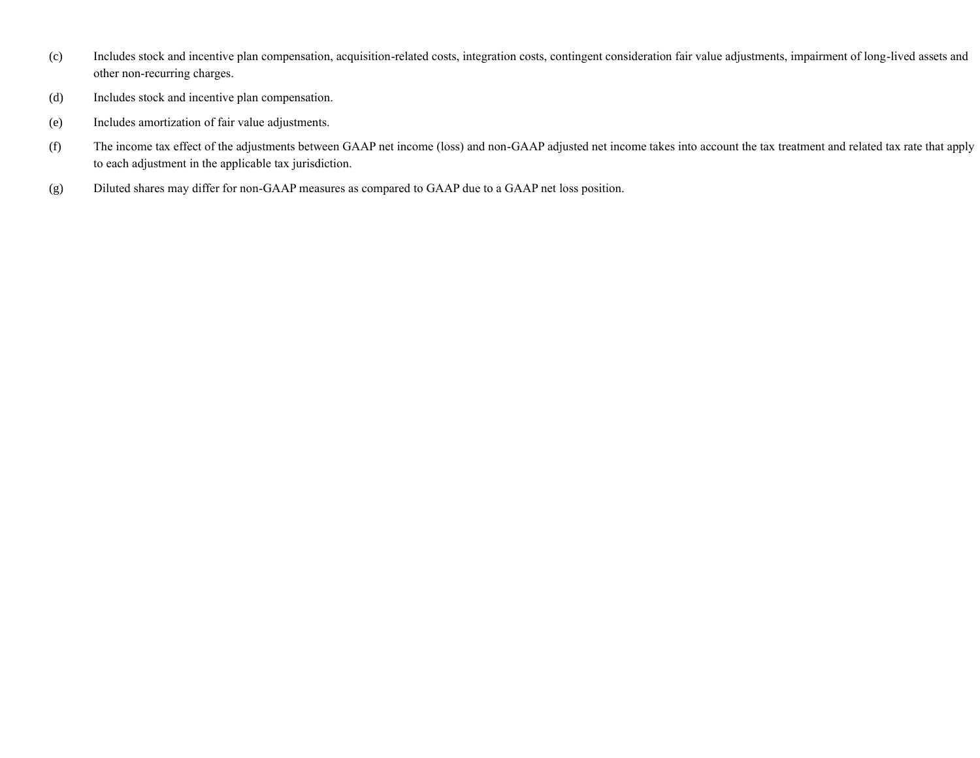- (c) Includes stock and incentive plan compensation, acquisition-related costs, integration costs, contingent consideration fair value adjustments, impairment of long-lived assets and other non-recurring charges.
- (d) Includes stock and incentive plan compensation.
- (e) Includes amortization of fair value adjustments.
- (f) The income tax effect of the adjustments between GAAP net income (loss) and non-GAAP adjusted net income takes into account the tax treatment and related tax rate that apply to each adjustment in the applicable tax jurisdiction.
- (g) Diluted shares may differ for non-GAAP measures as compared to GAAP due to a GAAP net loss position.